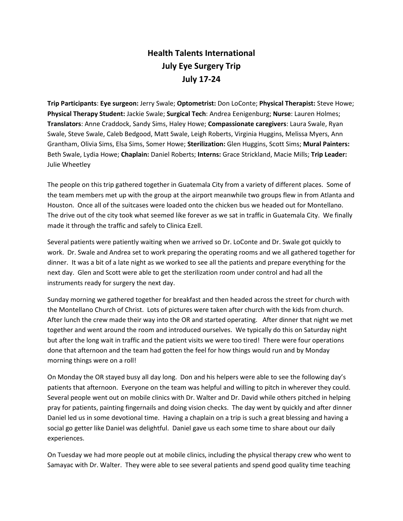## **Health Talents International July Eye Surgery Trip July 17-24**

**Trip Participants**: **Eye surgeon:** Jerry Swale; **Optometrist:** Don LoConte; **Physical Therapist:** Steve Howe; **Physical Therapy Student:** Jackie Swale; **Surgical Tech**: Andrea Eenigenburg; **Nurse**: Lauren Holmes; **Translators**: Anne Craddock, Sandy Sims, Haley Howe; **Compassionate caregivers**: Laura Swale, Ryan Swale, Steve Swale, Caleb Bedgood, Matt Swale, Leigh Roberts, Virginia Huggins, Melissa Myers, Ann Grantham, Olivia Sims, Elsa Sims, Somer Howe; **Sterilization:** Glen Huggins, Scott Sims; **Mural Painters:**  Beth Swale, Lydia Howe; **Chaplain:** Daniel Roberts; **Interns:** Grace Strickland, Macie Mills; **Trip Leader:** Julie Wheetley

The people on this trip gathered together in Guatemala City from a variety of different places. Some of the team members met up with the group at the airport meanwhile two groups flew in from Atlanta and Houston. Once all of the suitcases were loaded onto the chicken bus we headed out for Montellano. The drive out of the city took what seemed like forever as we sat in traffic in Guatemala City. We finally made it through the traffic and safely to Clinica Ezell.

Several patients were patiently waiting when we arrived so Dr. LoConte and Dr. Swale got quickly to work. Dr. Swale and Andrea set to work preparing the operating rooms and we all gathered together for dinner. It was a bit of a late night as we worked to see all the patients and prepare everything for the next day. Glen and Scott were able to get the sterilization room under control and had all the instruments ready for surgery the next day.

Sunday morning we gathered together for breakfast and then headed across the street for church with the Montellano Church of Christ. Lots of pictures were taken after church with the kids from church. After lunch the crew made their way into the OR and started operating. After dinner that night we met together and went around the room and introduced ourselves. We typically do this on Saturday night but after the long wait in traffic and the patient visits we were too tired! There were four operations done that afternoon and the team had gotten the feel for how things would run and by Monday morning things were on a roll!

On Monday the OR stayed busy all day long. Don and his helpers were able to see the following day's patients that afternoon. Everyone on the team was helpful and willing to pitch in wherever they could. Several people went out on mobile clinics with Dr. Walter and Dr. David while others pitched in helping pray for patients, painting fingernails and doing vision checks. The day went by quickly and after dinner Daniel led us in some devotional time. Having a chaplain on a trip is such a great blessing and having a social go getter like Daniel was delightful. Daniel gave us each some time to share about our daily experiences.

On Tuesday we had more people out at mobile clinics, including the physical therapy crew who went to Samayac with Dr. Walter. They were able to see several patients and spend good quality time teaching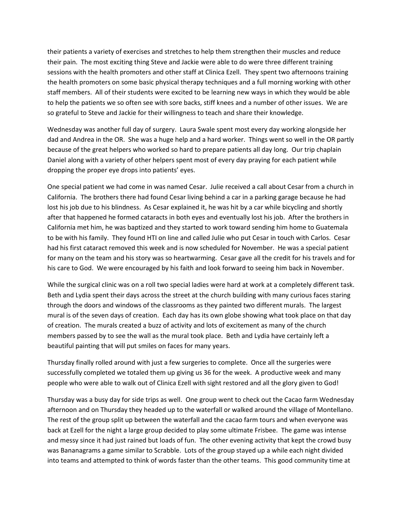their patients a variety of exercises and stretches to help them strengthen their muscles and reduce their pain. The most exciting thing Steve and Jackie were able to do were three different training sessions with the health promoters and other staff at Clinica Ezell. They spent two afternoons training the health promoters on some basic physical therapy techniques and a full morning working with other staff members. All of their students were excited to be learning new ways in which they would be able to help the patients we so often see with sore backs, stiff knees and a number of other issues. We are so grateful to Steve and Jackie for their willingness to teach and share their knowledge.

Wednesday was another full day of surgery. Laura Swale spent most every day working alongside her dad and Andrea in the OR. She was a huge help and a hard worker. Things went so well in the OR partly because of the great helpers who worked so hard to prepare patients all day long. Our trip chaplain Daniel along with a variety of other helpers spent most of every day praying for each patient while dropping the proper eye drops into patients' eyes.

One special patient we had come in was named Cesar. Julie received a call about Cesar from a church in California. The brothers there had found Cesar living behind a car in a parking garage because he had lost his job due to his blindness. As Cesar explained it, he was hit by a car while bicycling and shortly after that happened he formed cataracts in both eyes and eventually lost his job. After the brothers in California met him, he was baptized and they started to work toward sending him home to Guatemala to be with his family. They found HTI on line and called Julie who put Cesar in touch with Carlos. Cesar had his first cataract removed this week and is now scheduled for November. He was a special patient for many on the team and his story was so heartwarming. Cesar gave all the credit for his travels and for his care to God. We were encouraged by his faith and look forward to seeing him back in November.

While the surgical clinic was on a roll two special ladies were hard at work at a completely different task. Beth and Lydia spent their days across the street at the church building with many curious faces staring through the doors and windows of the classrooms as they painted two different murals. The largest mural is of the seven days of creation. Each day has its own globe showing what took place on that day of creation. The murals created a buzz of activity and lots of excitement as many of the church members passed by to see the wall as the mural took place. Beth and Lydia have certainly left a beautiful painting that will put smiles on faces for many years.

Thursday finally rolled around with just a few surgeries to complete. Once all the surgeries were successfully completed we totaled them up giving us 36 for the week. A productive week and many people who were able to walk out of Clinica Ezell with sight restored and all the glory given to God!

Thursday was a busy day for side trips as well. One group went to check out the Cacao farm Wednesday afternoon and on Thursday they headed up to the waterfall or walked around the village of Montellano. The rest of the group split up between the waterfall and the cacao farm tours and when everyone was back at Ezell for the night a large group decided to play some ultimate Frisbee. The game was intense and messy since it had just rained but loads of fun. The other evening activity that kept the crowd busy was Bananagrams a game similar to Scrabble. Lots of the group stayed up a while each night divided into teams and attempted to think of words faster than the other teams. This good community time at